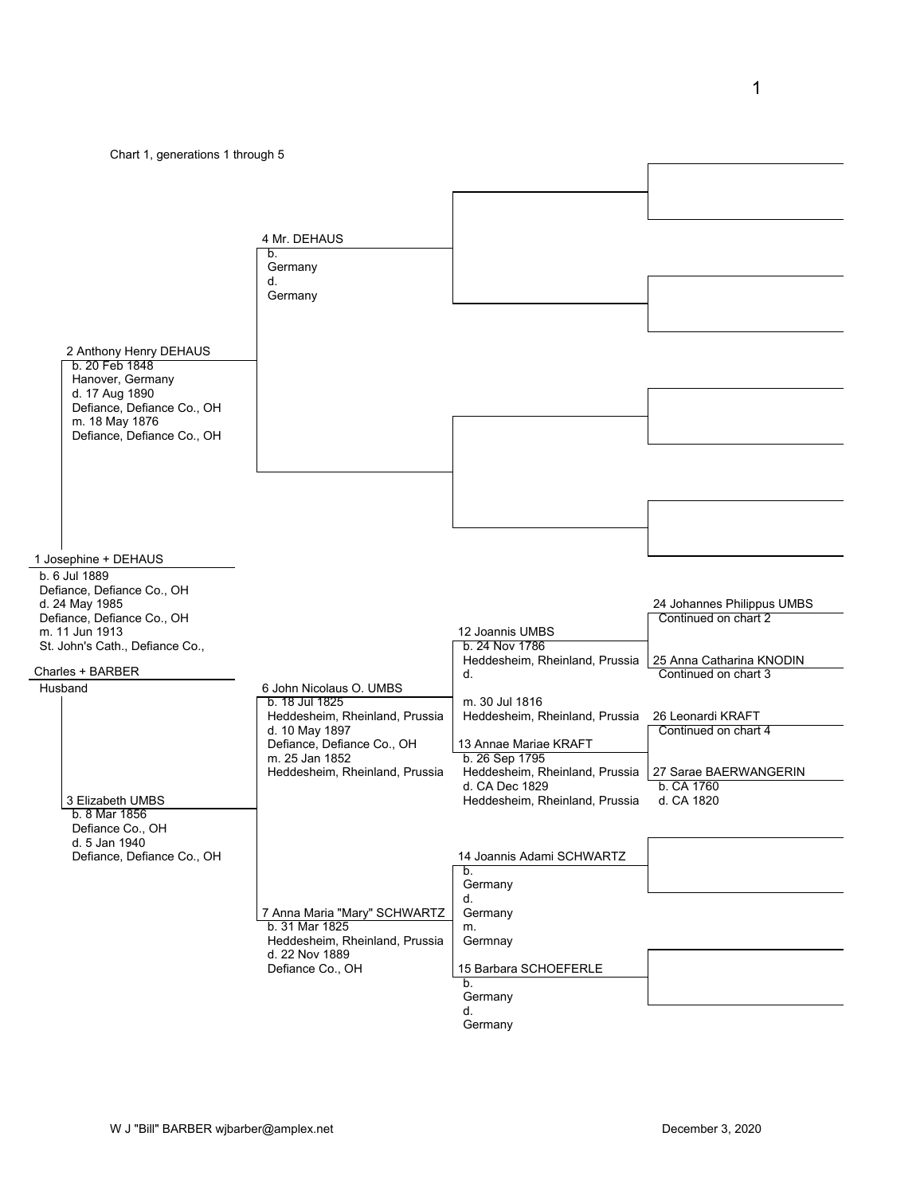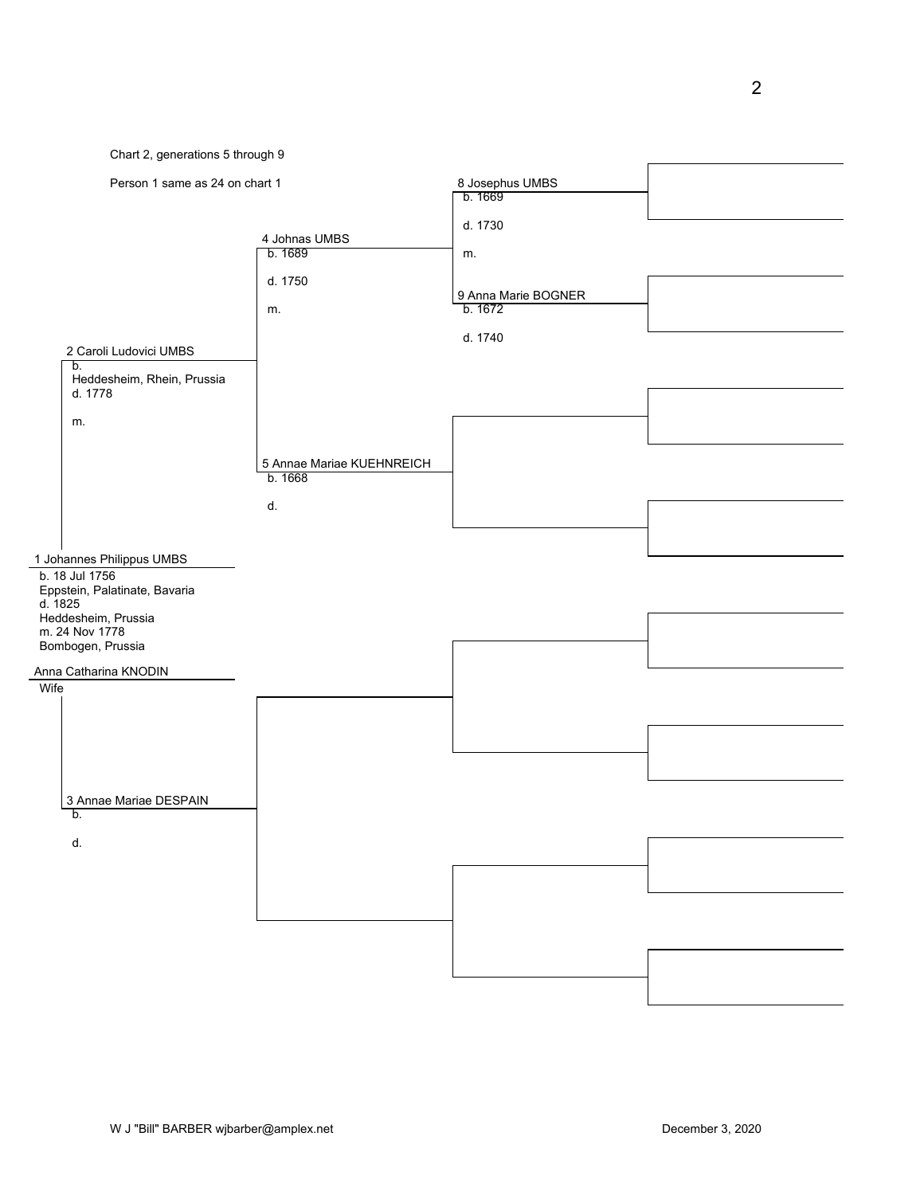

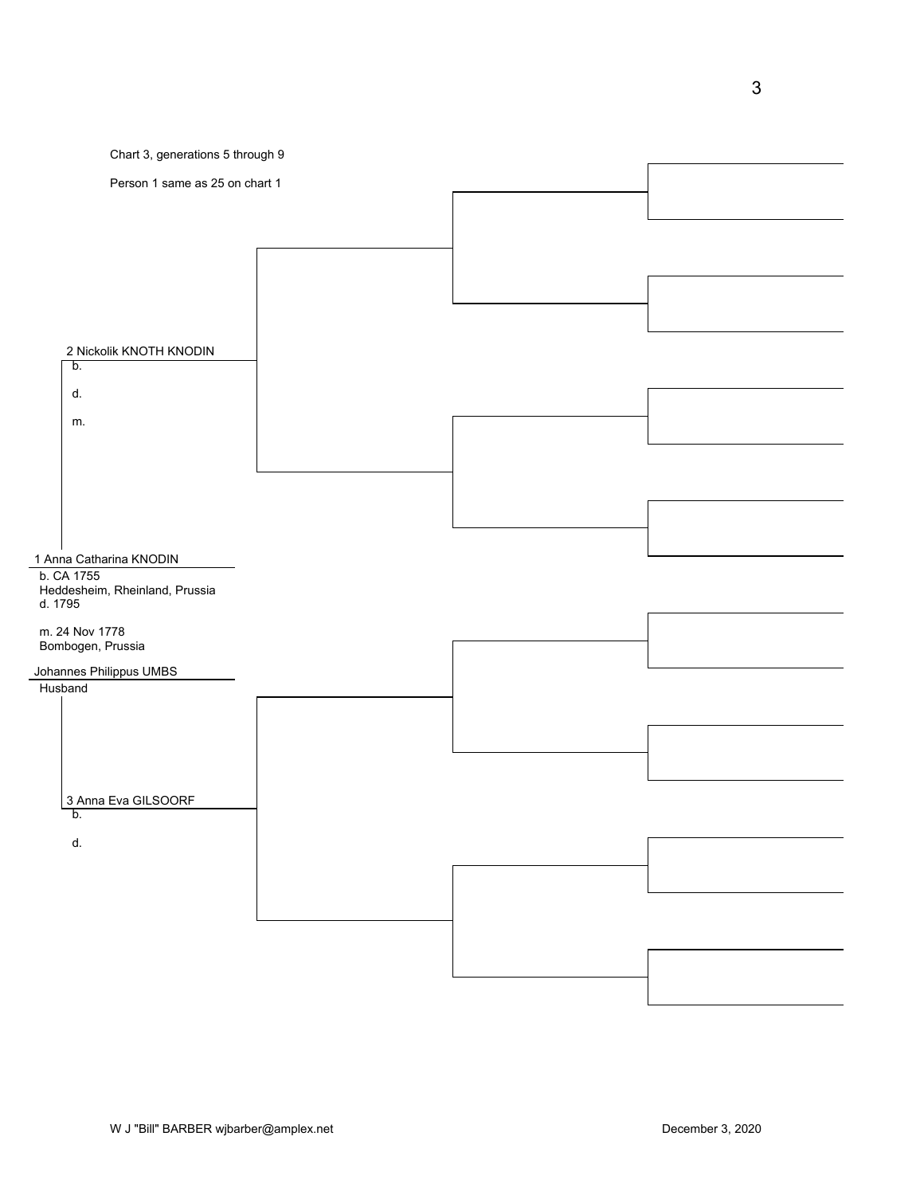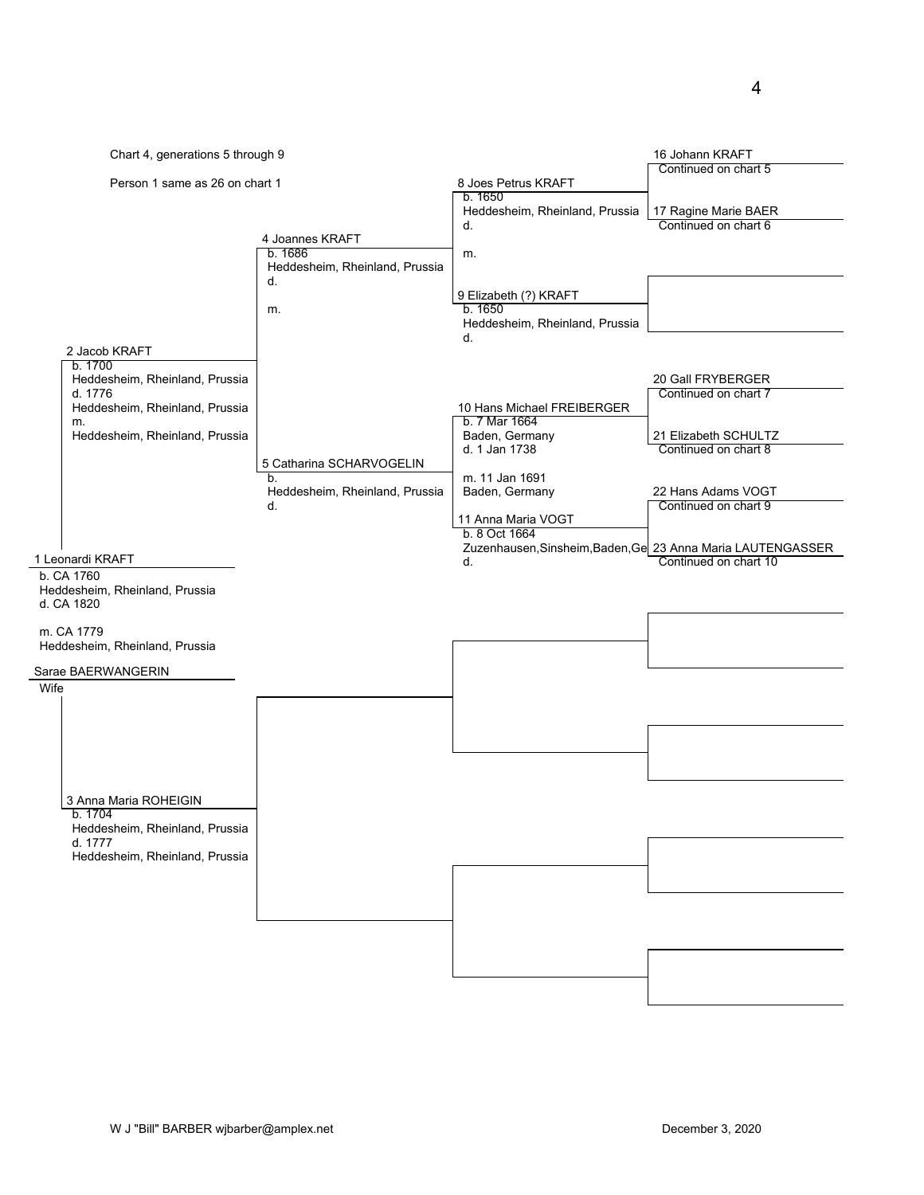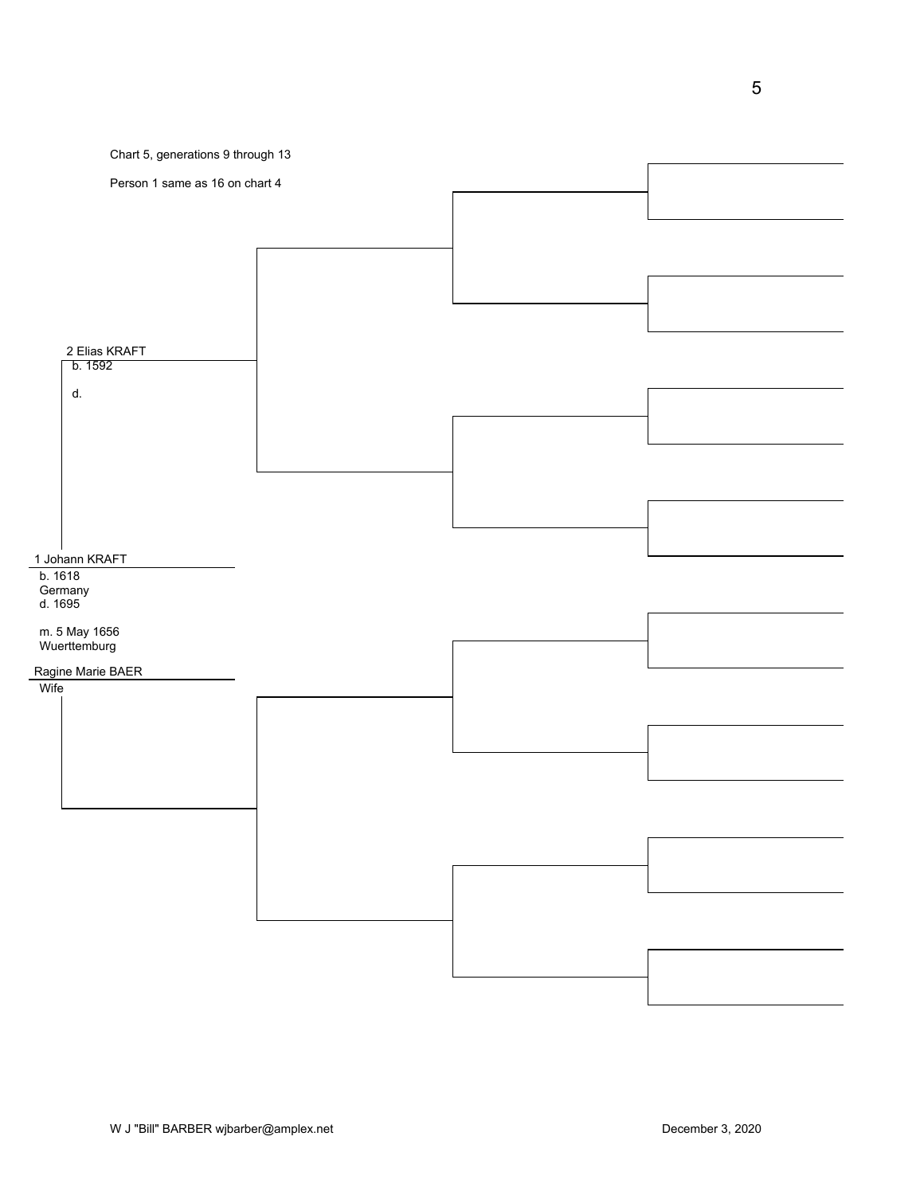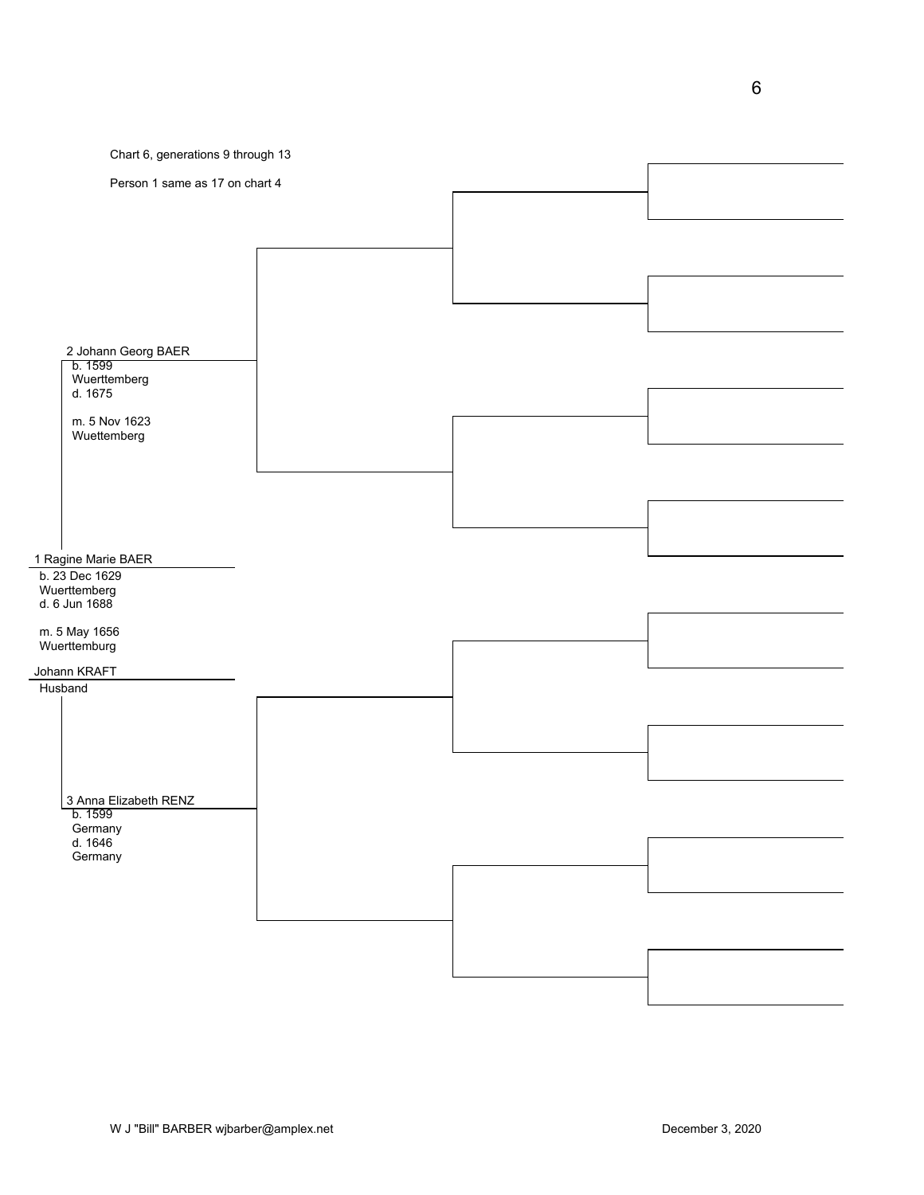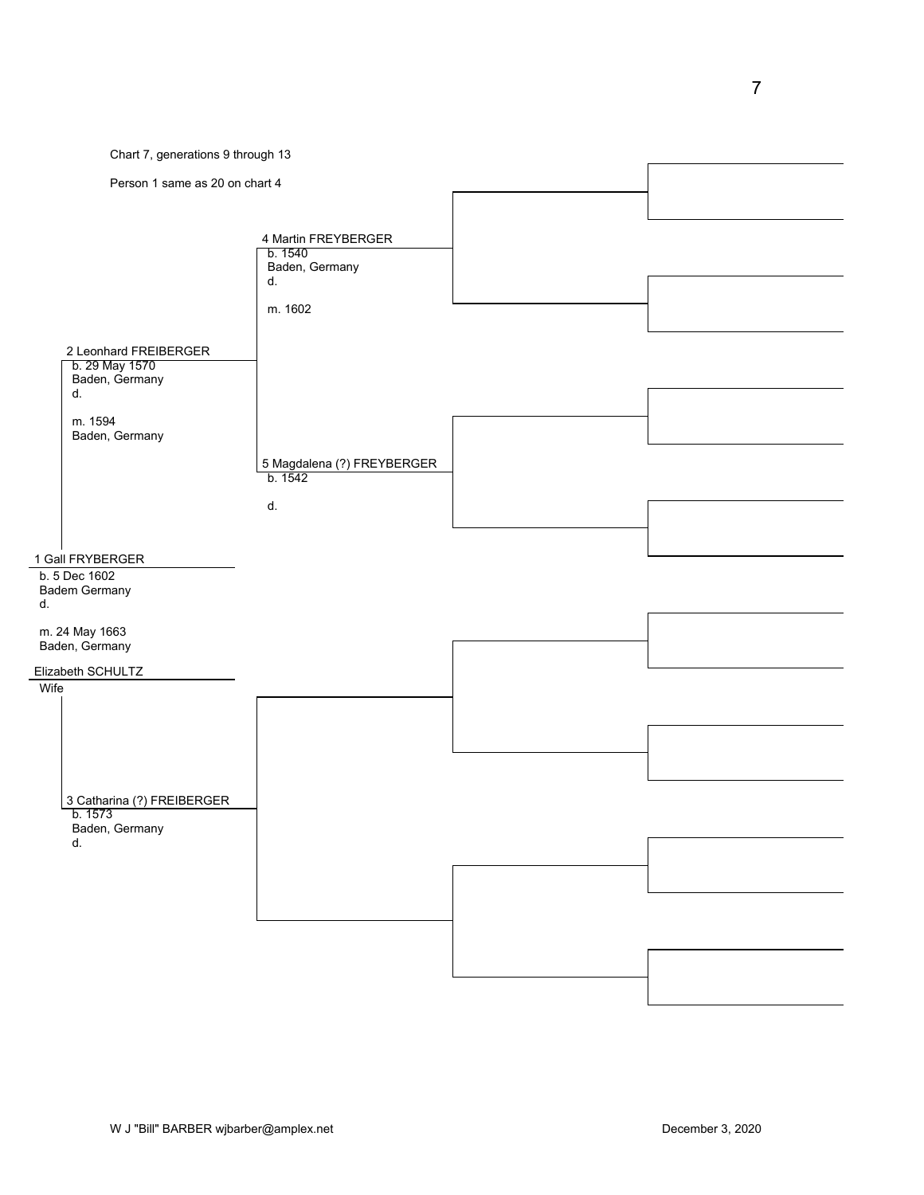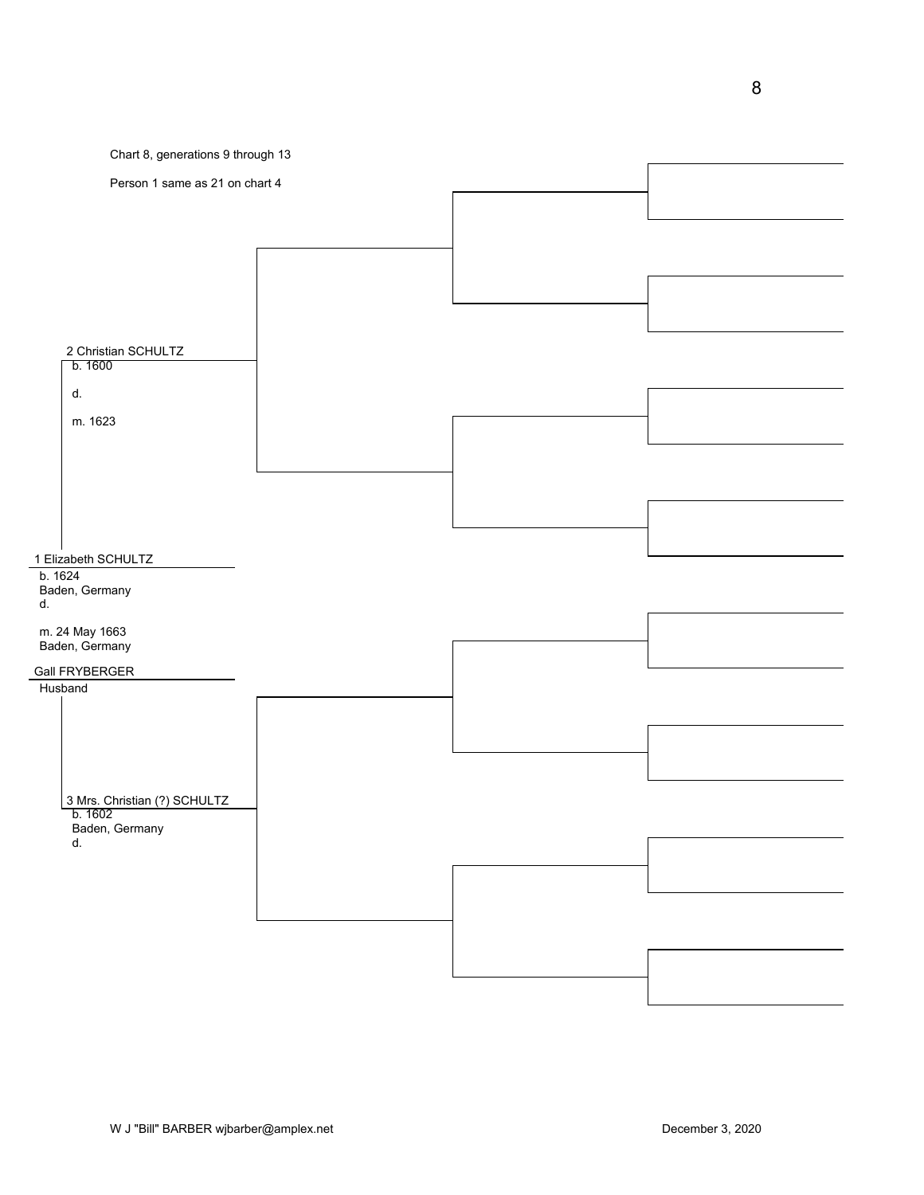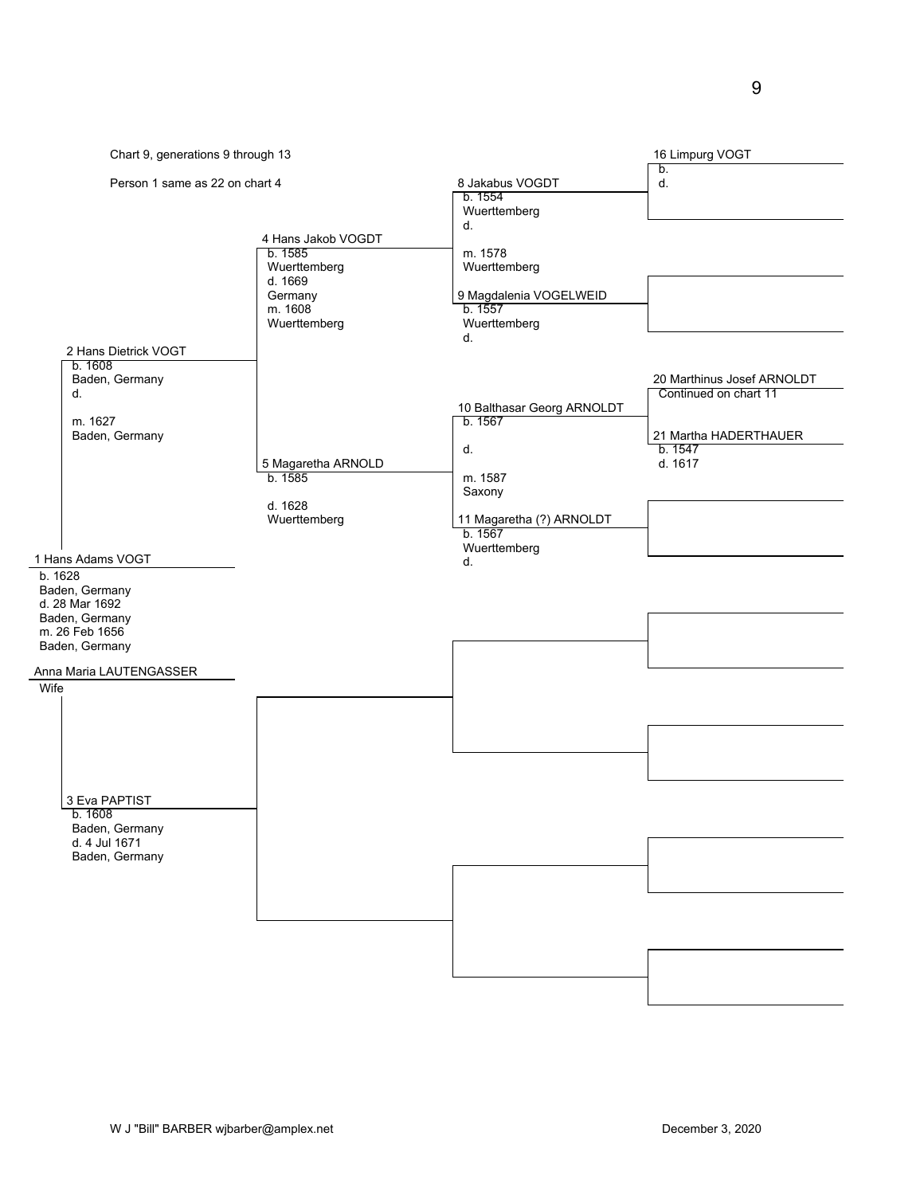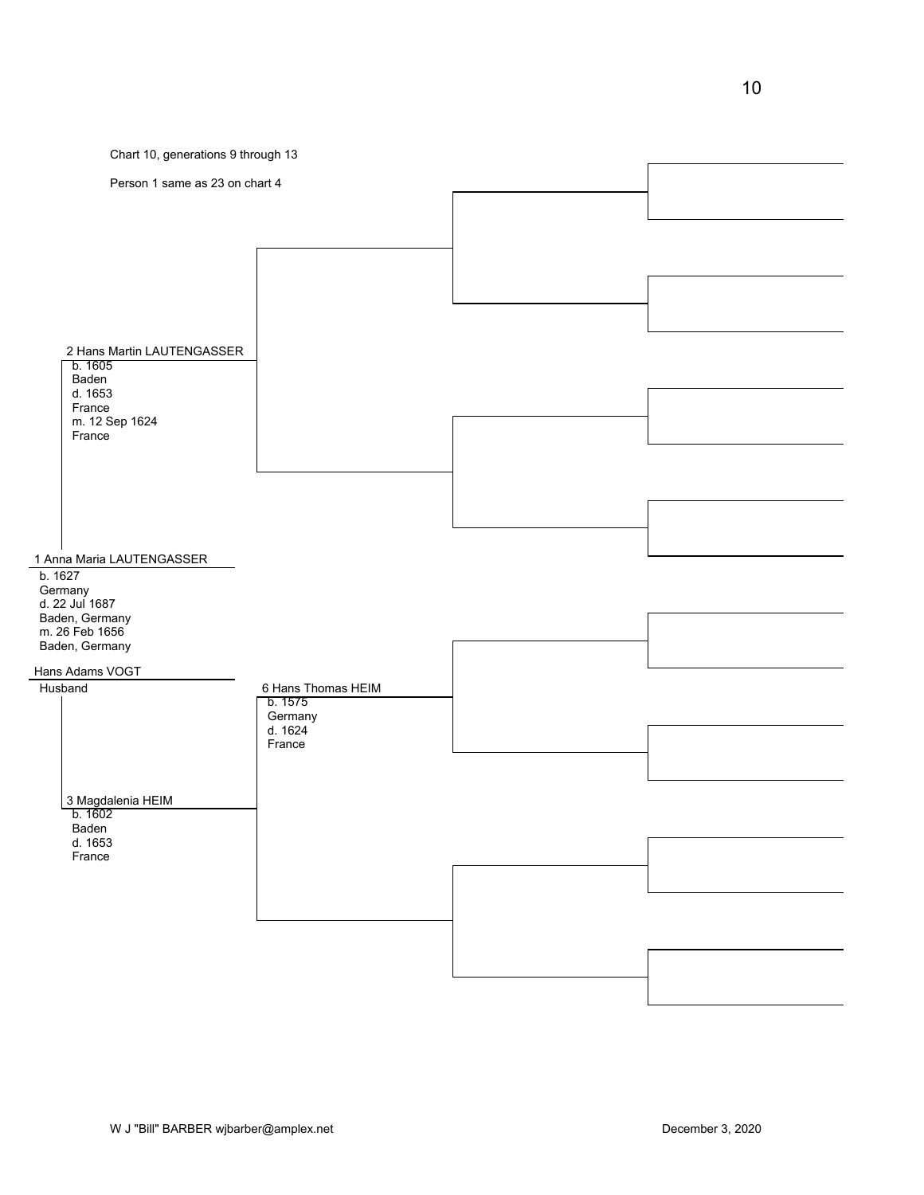